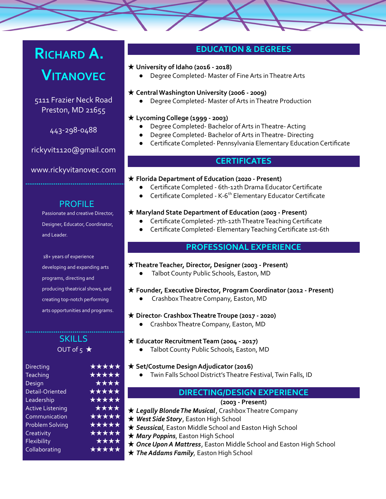# **RICHARD A.**

# **VITANOVEC**

#### 5111 Frazier Neck Road Preston, MD 21655

443-298-0488

[rickyvit1120@gmail.com](mailto:rickyvit1120@gmail.com)

[www.rickyvitanovec.com](http://www.rickyvitanovec.com)

# PROFILE

Passionate and creative Director, Designer, Educator, Coordinator, and Leader.

18+ years of experience developing and expanding arts programs, directing and producing theatrical shows, and creating top-notch performing arts opportunities and programs.

# **SKILLS** OUT of  $5 \star$

| <b>Directing</b>        | ***** |
|-------------------------|-------|
| Teaching                | ***** |
| Design                  | ****  |
| Detail-Oriented         | ***** |
| Leadership              | ***** |
| <b>Active Listening</b> | ****  |
| Communication           | ***** |
| <b>Problem Solving</b>  | ***** |
| Creativity              | ***** |
| Flexibility             | ****  |
| Collaborating           | ***** |

# **EDUCATION & DEGREES**

#### ★ **University of Idaho (2016 - 2018)**

Degree Completed- Master of Fine Arts in Theatre Arts

### ★ **Central Washington University (2006 - 2009)**

Degree Completed- Master of Arts in Theatre Production

#### ★ **Lycoming College (1999 - 2003)**

- Degree Completed- Bachelor of Arts in Theatre-Acting
- Degree Completed- Bachelor of Arts in Theatre- Directing
- Certificate Completed- Pennsylvania Elementary Education Certificate

## **CERTIFICATES**

#### ★ **Florida Department of Education (2020 - Present)**

- Certificate Completed 6th-12th Drama Educator Certificate
- Certificate Completed K-6<sup>th</sup> Elementary Educator Certificate

#### ★ **Maryland State Department of Education (2003 - Present)**

- Certificate Completed- 7th-12th Theatre Teaching Certificate
- Certificate Completed- Elementary Teaching Certificate 1st-6th

# **PROFESSIONAL EXPERIENCE**

#### ★**TheatreTeacher, Director, Designer (2003 - Present)**

Talbot County Public Schools, Easton, MD

#### ★ **Founder, Executive Director, Program Coordinator (2012 - Present)**

Crashbox Theatre Company, Easton, MD

#### ★ **Director- CrashboxTheatreTroupe (2017 - 2020)**

● CrashboxTheatre Company, Easton, MD

#### ★ **Educator RecruitmentTeam (2004 - 2017)**

● Talbot County Public Schools, Easton, MD

#### ★ **Set/Costume DesignAdjudicator (2016)**

● Twin Falls School District'sTheatre Festival,Twin Falls, ID

# **DIRECTING/DESIGN EXPERIENCE**

#### **(2003 - Present)**

- ★ *Legally BlondeThe Musical*, CrashboxTheatre Company
- ★ *West Side Story*, Easton High School
- **★ Seussical, Easton Middle School and Easton High School**
- ★ *Mary Poppins*, Easton High School
- **★ Once Upon A Mattress**, Easton Middle School and Easton High School
- ★ *The Addams Family,* Easton High School